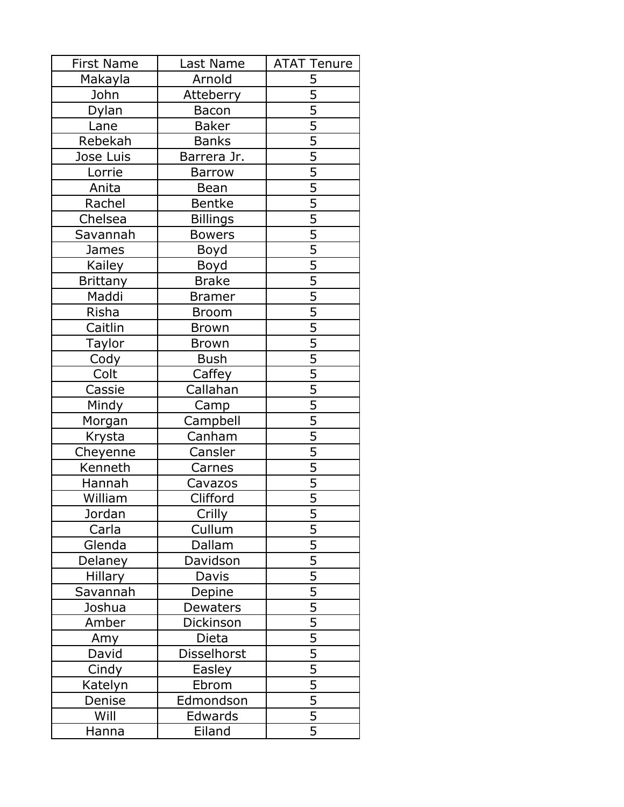| <b>First Name</b> | Last Name       | <b>ATAT Tenure</b>          |
|-------------------|-----------------|-----------------------------|
| Makayla           | Arnold          | 5                           |
| John              | Atteberry       | $\overline{5}$              |
| Dylan             | <b>Bacon</b>    | $\overline{5}$              |
| Lane              | <b>Baker</b>    | $\overline{5}$              |
| Rebekah           | <b>Banks</b>    | $\frac{5}{5}$               |
| Jose Luis         | Barrera Jr.     |                             |
| Lorrie            | <b>Barrow</b>   | $\overline{5}$              |
| Anita             | Bean            | $\overline{5}$              |
| Rachel            | Bentke          | $\overline{5}$              |
| Chelsea           | <b>Billings</b> | $\frac{5}{5}$ $\frac{5}{5}$ |
| Savannah          | <b>Bowers</b>   |                             |
| James             | Boyd            |                             |
| <b>Kailey</b>     | Boyd            |                             |
| <b>Brittany</b>   | <b>Brake</b>    | $\overline{5}$              |
| Maddi             | <b>Bramer</b>   | $\overline{5}$              |
| Risha             | <b>Broom</b>    | $\overline{5}$              |
| Caitlin           | <b>Brown</b>    | $\overline{5}$              |
| Taylor            | <b>Brown</b>    | $\overline{5}$              |
| Cody              | <b>Bush</b>     | $\overline{5}$              |
| Colt              | Caffey          | $\overline{5}$              |
| Cassie            | Callahan        |                             |
| Mindy             | Camp            | $\frac{5}{5}$               |
| Morgan            | Campbell        |                             |
| Krysta            | Canham          | $\frac{5}{5}$               |
| Cheyenne          | Cansler         |                             |
| Kenneth           | Carnes          | $\overline{5}$              |
| Hannah            | Cavazos         | $\overline{5}$              |
| William           | Clifford        | $\overline{5}$              |
| Jordan            | Crilly          | 5                           |
| Carla             | Cullum          |                             |
| Glenda            | Dallam          | $\frac{5}{5}$               |
| Delaney           | Davidson        | $\overline{5}$              |
| <b>Hillary</b>    | Davis           |                             |
| Savannah          | Depine          | $\frac{5}{5}$               |
| Joshua            | <b>Dewaters</b> |                             |
| Amber             | Dickinson       | $\frac{5}{5}$               |
| Amy               | Dieta           |                             |
| David             | Disselhorst     | $\overline{5}$              |
| Cindy             | Easley          | $\overline{5}$              |
| Katelyn           | Ebrom           | $\overline{5}$              |
| Denise            | Edmondson       |                             |
| Will              | Edwards         | $\frac{5}{5}$               |
| Hanna             | Eiland          | $\overline{5}$              |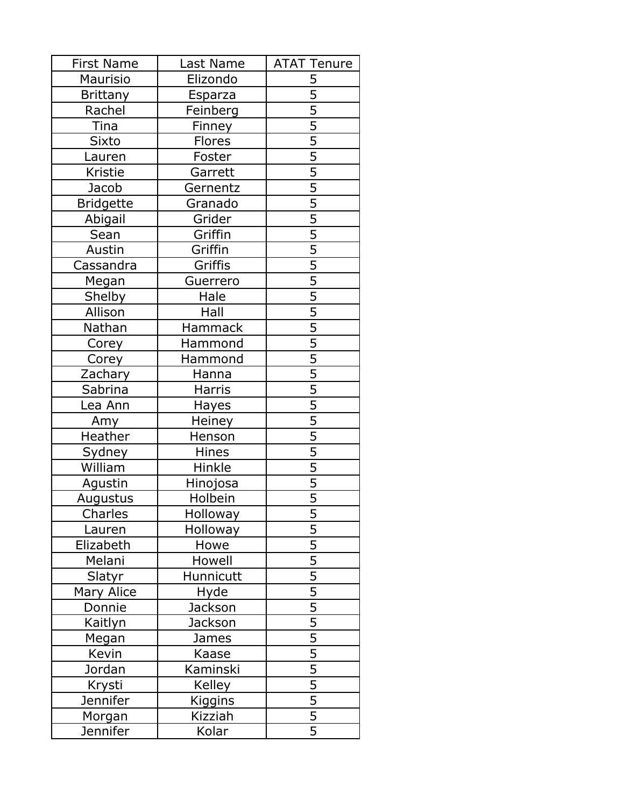| <b>First Name</b> | Last Name      | <b>ATAT Tenure</b> |
|-------------------|----------------|--------------------|
| Maurisio          | Elizondo       | 5                  |
| <b>Brittany</b>   | Esparza        | $\overline{5}$     |
| Rachel            | Feinberg       | $\overline{5}$     |
| Tina              | <b>Finney</b>  | $\overline{5}$     |
| <b>Sixto</b>      | <b>Flores</b>  | $\frac{5}{5}$      |
| Lauren            | Foster         |                    |
| Kristie           | Garrett        | $\overline{5}$     |
| Jacob             | Gernentz       | $\overline{5}$     |
| <b>Bridgette</b>  | Granado        | $\overline{5}$     |
| Abigail           | Grider         |                    |
| Sean              | Griffin        |                    |
| Austin            | Griffin        | $\frac{5}{5}$      |
| Cassandra         | Griffis        | $\overline{5}$     |
| Megan             | Guerrero       | $\overline{5}$     |
| Shelby            | Hale           | $\overline{5}$     |
| Allison           | Hall           | $\overline{5}$     |
| Nathan            | Hammack        | $\overline{5}$     |
| Corey             | Hammond        | $\overline{5}$     |
| Corey             | Hammond        | $\overline{5}$     |
| Zachary           | Hanna          | $\overline{5}$     |
| Sabrina           | Harris         |                    |
| Lea Ann           | <b>Hayes</b>   | $\frac{5}{5}$      |
| Amy               | Heiney         |                    |
| Heather           | Henson         | $\frac{5}{5}$      |
| Sydney            | Hines          |                    |
| William           | Hinkle         | $\overline{5}$     |
| Agustin           | Hinojosa       | $\overline{5}$     |
| Augustus          | Holbein        | $\overline{5}$     |
| Charles           | Holloway       | 5                  |
| Lauren            | Holloway       |                    |
| Elizabeth         | Howe           | $\frac{5}{5}$      |
| Melani            | Howell         | $\overline{5}$     |
| Slatyr            | Hunnicutt      |                    |
| Mary Alice        | Hyde           | $\frac{5}{5}$      |
| Donnie            | Jackson        |                    |
| Kaitlyn           | Jackson        |                    |
| Megan             | James          | $\frac{5}{5}$      |
| Kevin             | Kaase          | $\overline{5}$     |
| Jordan            | Kaminski       | $\overline{5}$     |
| Krysti            | Kelley         | $\overline{5}$     |
| Jennifer          | <b>Kiggins</b> |                    |
| Morgan            | Kizziah        | $\frac{5}{5}$      |
| Jennifer          | Kolar          | $\overline{5}$     |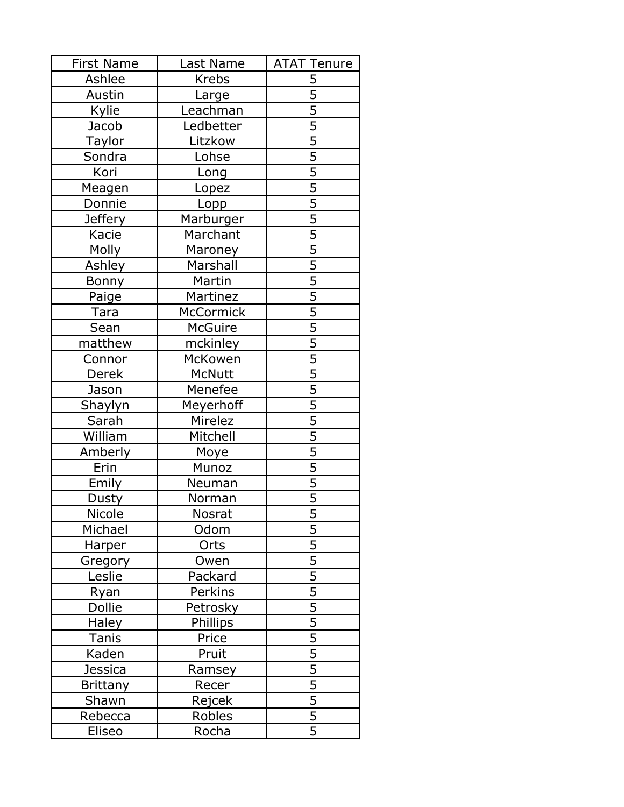| <b>First Name</b> | Last Name        | <b>ATAT Tenure</b>          |
|-------------------|------------------|-----------------------------|
| Ashlee            | <b>Krebs</b>     | 5                           |
| Austin            | Large            | $\overline{5}$              |
| Kylie             | Leachman         | $\overline{5}$              |
| Jacob             | Ledbetter        | $\overline{5}$              |
| <b>Taylor</b>     | Litzkow          | $\frac{5}{5}$               |
| Sondra            | Lohse            |                             |
| Kori              | Long             | $\overline{5}$              |
| Meagen            | Lopez            | $\overline{5}$              |
| Donnie            | Lopp             | $\overline{5}$              |
| <b>Jeffery</b>    | <b>Marburger</b> | $\frac{5}{5}$ $\frac{5}{5}$ |
| Kacie             | Marchant         |                             |
| Molly             | Maroney          |                             |
| Ashley            | Marshall         |                             |
| <b>Bonny</b>      | Martin           | $\overline{5}$              |
| Paige             | Martinez         | $\overline{5}$              |
| Tara              | McCormick        |                             |
| Sean              | McGuire          | $\frac{5}{5}$               |
| matthew           | mckinley         | $\overline{5}$              |
| Connor            | McKowen          | $\overline{5}$              |
| Derek             | McNutt           | $\overline{5}$              |
| Jason             | Menefee          |                             |
| Shaylyn           | Meyerhoff        | $\frac{5}{5}$               |
| Sarah             | Mirelez          |                             |
| William           | Mitchell         | $\frac{5}{5}$               |
| Amberly           | Moye             |                             |
| Erin              | Munoz            | $\overline{5}$              |
| Emily             | Neuman           | $\overline{5}$              |
| Dusty             | Norman           | $\overline{5}$              |
| Nicole            | <b>Nosrat</b>    | 5                           |
| Michael           | Odom             |                             |
| Harper            | Orts             | $\frac{5}{5}$               |
| Gregory           | Owen             | $\overline{5}$              |
| Leslie            | Packard          |                             |
| <u>Ryan</u>       | Perkins          | $\frac{5}{5}$               |
| Dollie            | Petrosky         |                             |
| Haley             | Phillips         | $\frac{5}{5}$               |
| Tanis             | Price            |                             |
| Kaden             | Pruit            | $\overline{5}$              |
| <b>Jessica</b>    | Ramsey           | $\overline{5}$              |
| <b>Brittany</b>   | Recer            | $\overline{5}$              |
| Shawn             | Rejcek           |                             |
| Rebecca           | Robles           | $\frac{5}{5}$               |
| Eliseo            | Rocha            | $\overline{5}$              |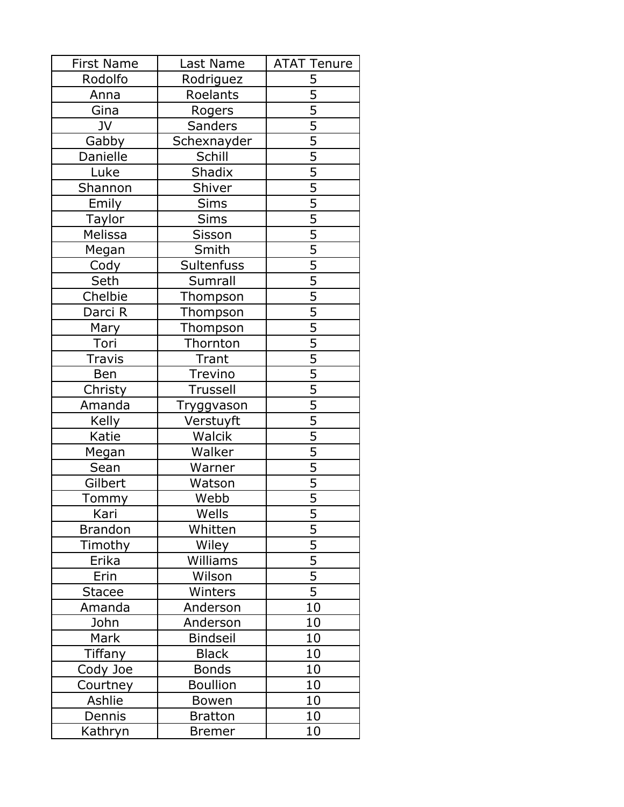| <b>First Name</b> | Last Name       | <b>ATAT Tenure</b> |
|-------------------|-----------------|--------------------|
| Rodolfo           | Rodriguez       | 5                  |
| Anna              | Roelants        | $\overline{5}$     |
| Gina              | Rogers          | $\overline{5}$     |
| JV                | <b>Sanders</b>  | $\overline{5}$     |
| Gabby             | Schexnayder     | $\frac{5}{5}$      |
| Danielle          | Schill          |                    |
| Luke              | <b>Shadix</b>   | $\overline{5}$     |
| Shannon           | Shiver          | $\overline{5}$     |
| Emily             | Sims            | $\overline{5}$     |
| Taylor            | <b>Sims</b>     | $\frac{5}{5}$      |
| Melissa           | Sisson          |                    |
| Megan             | Smith           |                    |
| Cody              | Sultenfuss      | $\overline{5}$     |
| Seth              | Sumrall         | $\overline{5}$     |
| Chelbie           | Thompson        | $\overline{5}$     |
| Darci R           | Thompson        | $\overline{5}$     |
| Mary              | <b>Thompson</b> | $\overline{5}$     |
| Tori              | Thornton        | $\overline{5}$     |
| <b>Travis</b>     | Trant           | $\overline{5}$     |
| Ben               | Trevino         | $\overline{5}$     |
| Christy           | Trussell        | $\overline{5}$     |
| Amanda            | Tryggvason      | $\overline{5}$     |
| Kelly             | Verstuyft       |                    |
| Katie             | Walcik          | $\frac{5}{5}$      |
| Megan             | Walker          |                    |
| Sean              | Warner          | $\overline{5}$     |
| Gilbert           | Watson          | $\overline{5}$     |
| To <u>mmy</u>     | Webb            | $\overline{5}$     |
| Kari              | Wells           | 5                  |
| <b>Brandon</b>    | Whitten         |                    |
| Timothy           | Wiley           | $\frac{5}{5}$      |
| Erika             | Williams        | $\overline{5}$     |
| Erin              | Wilson          | $\overline{5}$     |
| Stacee            | Winters         | $\overline{5}$     |
| Amanda            | Anderson        | 10                 |
| John              | Anderson        | 10                 |
| Mark              | <b>Bindseil</b> | 10                 |
| Tiffany           | <b>Black</b>    | 10                 |
| Cody Joe          | <b>Bonds</b>    | 10                 |
| Courtney          | <b>Boullion</b> | 10                 |
| Ashlie            | Bowen           | 10                 |
| Dennis            | <b>Bratton</b>  | 10                 |
| Kathryn           | <b>Bremer</b>   | 10                 |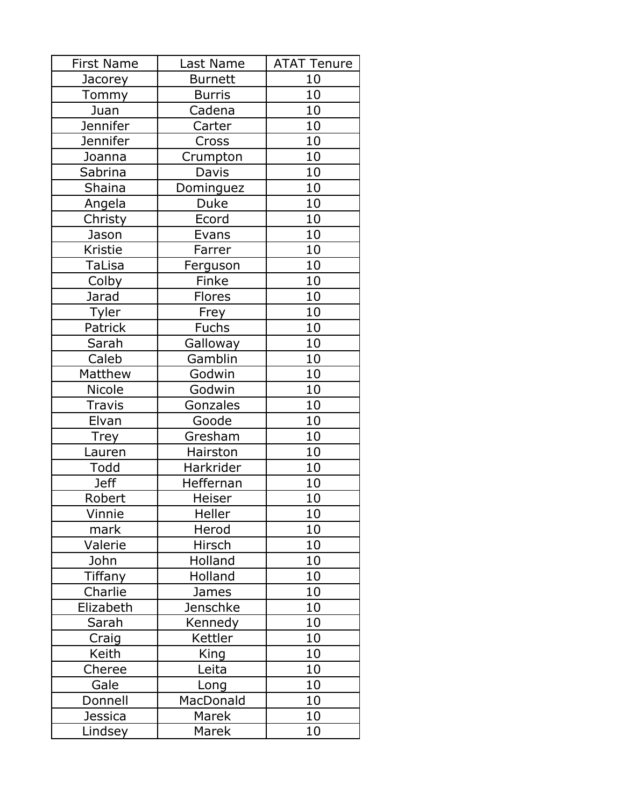| <b>First Name</b> | Last Name            | <b>ATAT Tenure</b> |
|-------------------|----------------------|--------------------|
| Jacorey           | <b>Burnett</b>       | 10                 |
| <b>Tommy</b>      | <b>Burris</b>        | 10                 |
| Juan              | Cadena               | 10                 |
| <b>Jennifer</b>   | Carter               | 10                 |
| Jennifer          | Cross                | 10                 |
| Joanna            | Crumpton             | 10                 |
| Sabrina           | Davis                | 10                 |
| <b>Shaina</b>     | Dominguez            | 10                 |
| Angela            | Duke                 | 10                 |
| Christy           | Ecord                | 10                 |
| Jason             | Evans                | 10                 |
| Kristie           | Farrer               | 10                 |
| TaLisa            | Ferguson             | 10                 |
| Colby             | Finke                | 10                 |
| Jarad             | Flores               | 10                 |
| Tyler             | Frey                 | 10                 |
| Patrick           | <b>Fuchs</b>         | 10                 |
| Sarah             | Galloway             | 10                 |
| Caleb             | Gamblin              | 10                 |
| Matthew           | Godwin               | 10                 |
| Nicole            | Godwin               | 10                 |
| <b>Travis</b>     | Gonzales             | 10                 |
| Elvan             | Goode                | 10                 |
| <b>Trey</b>       | Gresham              | 10                 |
| Lauren            | Hairston             | 10                 |
| Todd              | Harkrider            | 10                 |
| <b>Jeff</b>       | <b>Heffernan</b>     | 10                 |
| Robert            | Heiser               | 10                 |
| Vinnie            | $\overline{H}$ eller | 10                 |
| mark              | Herod                | 10                 |
| Valerie           | Hirsch               | 10                 |
| John              | Holland              | 10                 |
| Tiffany           | Holland              | 10                 |
| Charlie           | James                | 10                 |
| Elizabeth         | Jenschke             | 10                 |
| Sarah             | Kennedy              | 10                 |
| Craig             | Kettler              | 10                 |
| Keith             | King                 | 10                 |
| Cheree            | Leita                | 10                 |
| Gale              | Long                 | 10                 |
| Donnell           | MacDonald            | 10                 |
| <b>Jessica</b>    | Marek                | 10                 |
| Lindsey           | Marek                | 10                 |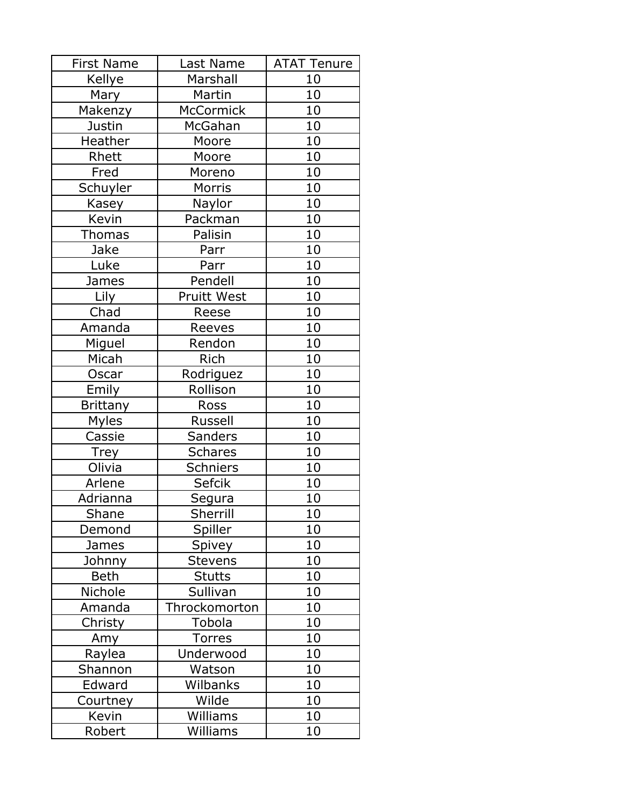| <b>First Name</b> | Last Name          | <b>ATAT Tenure</b> |
|-------------------|--------------------|--------------------|
| Kellye            | Marshall           | 10                 |
| Mary              | Martin             | 10                 |
| Makenzy           | <b>McCormick</b>   | 10                 |
| Justin            | McGahan            | 10                 |
| Heather           | Moore              | 10                 |
| Rhett             | Moore              | 10                 |
| Fred              | Moreno             | 10                 |
| Schuyler          | Morris             | 10                 |
| Kasey             | Naylor             | 10                 |
| Kevin             | Packman            | 10                 |
| <b>Thomas</b>     | Palisin            | 10                 |
| Jake              | Parr               | 10                 |
| Luke              | Parr               | 10                 |
| James             | Pendell            | 10                 |
| Lily              | <b>Pruitt West</b> | 10                 |
| Chad              | Reese              | 10                 |
| Amanda            | Reeves             | 10                 |
| Miguel            | Rendon             | 10                 |
| Micah             | Rich               | 10                 |
| Oscar             | Rodriguez          | 10                 |
| Emily             | Rollison           | 10                 |
| <b>Brittany</b>   | Ross               | 10                 |
| Myles             | Russell            | 10                 |
| Cassie            | <b>Sanders</b>     | 10                 |
| <b>Trey</b>       | <b>Schares</b>     | 10                 |
| Olivia            | <b>Schniers</b>    | 10                 |
| Arlene            | Sefcik             | 10                 |
| Adrianna          | Segura             | 10                 |
| Shane             | Sherrill           | 10                 |
| Demond            | <b>Spiller</b>     | 10                 |
| James             | Spivey             | 10                 |
| Johnny            | <b>Stevens</b>     | 10                 |
| Beth              | <b>Stutts</b>      | 10                 |
| Nichole           | Sullivan           | 10                 |
| Amanda            | Throckomorton      | 10                 |
| Christy           | Tobola             | 10                 |
| Amy               | <b>Torres</b>      | 10                 |
| Raylea            | Underwood          | 10                 |
| Shannon           | Watson             | 10                 |
| Edward            | Wilbanks           | 10                 |
| Courtney          | Wilde              | 10                 |
| Kevin             | Williams           | 10                 |
| Robert            | Williams           | 10                 |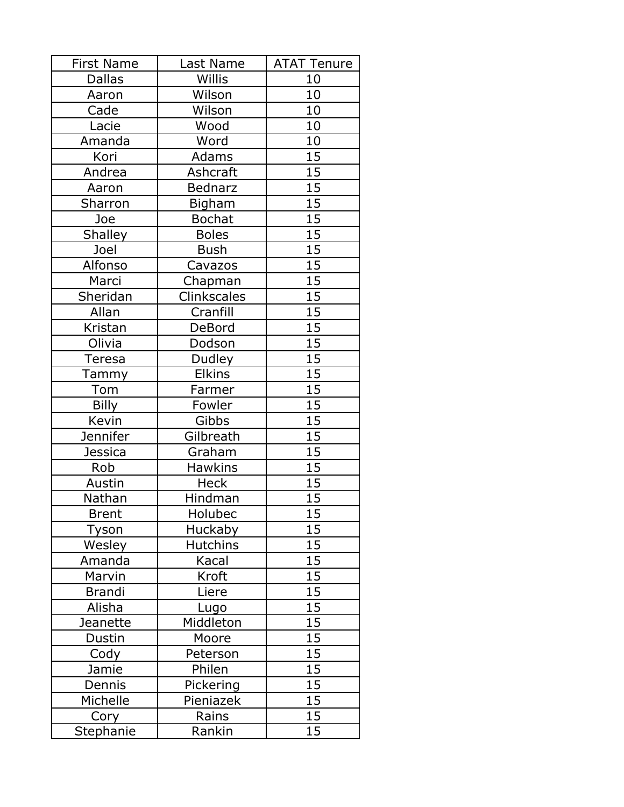| <b>First Name</b> | Last Name       | <b>ATAT Tenure</b> |
|-------------------|-----------------|--------------------|
| <b>Dallas</b>     | Willis          | 10                 |
| Aaron             | Wilson          | 10                 |
| Cade              | Wilson          | 10                 |
| Lacie             | Wood            | 10                 |
| Amanda            | Word            | 10                 |
| Kori              | Adams           | 15                 |
| Andrea            | Ashcraft        | 15                 |
| Aaron             | <b>Bednarz</b>  | 15                 |
| Sharron           | <b>Bigham</b>   | 15                 |
| Joe               | <b>Bochat</b>   | 15                 |
| <b>Shalley</b>    | <b>Boles</b>    | 15                 |
| Joel              | <b>Bush</b>     | $\overline{15}$    |
| Alfonso           | Cavazos         | 15                 |
| Marci             | Chapman         | 15                 |
| Sheridan          | Clinkscales     | 15                 |
| Allan             | Cranfill        | 15                 |
| Kristan           | DeBord          | 15                 |
| Olivia            | Dodson          | 15                 |
| Teresa            | Dudley          | 15                 |
| Tammy             | <b>Elkins</b>   | 15                 |
| Tom               | Farmer          | 15                 |
| <b>Billy</b>      | Fowler          | 15                 |
| Kevin             | Gibbs           | 15                 |
| <b>Jennifer</b>   | Gilbreath       | 15                 |
| <b>Jessica</b>    | Graham          | 15                 |
| Rob               | <b>Hawkins</b>  | 15                 |
| Austin            | <b>Heck</b>     | 15                 |
| Nathan            | Hindman         | 15                 |
| <b>Brent</b>      | Holubec         | $\overline{15}$    |
| Tyson             | <b>Huckaby</b>  | 15                 |
| Wesley            | <b>Hutchins</b> | 15                 |
| Amanda            | Kacal           | 15                 |
| Marvin            | Kroft           | 15                 |
| Brandi            | Liere           | 15                 |
| Alisha            | Lugo            | 15                 |
| <b>Jeanette</b>   | Middleton       | 15                 |
| Dustin            | Moore           | 15                 |
| Cody              | Peterson        | 15                 |
| Jamie             | Philen          | 15                 |
| Dennis            | Pickering       | 15                 |
| Michelle          | Pieniazek       | 15                 |
| Cory              | Rains           | 15                 |
| Stephanie         | Rankin          | $1\overline{5}$    |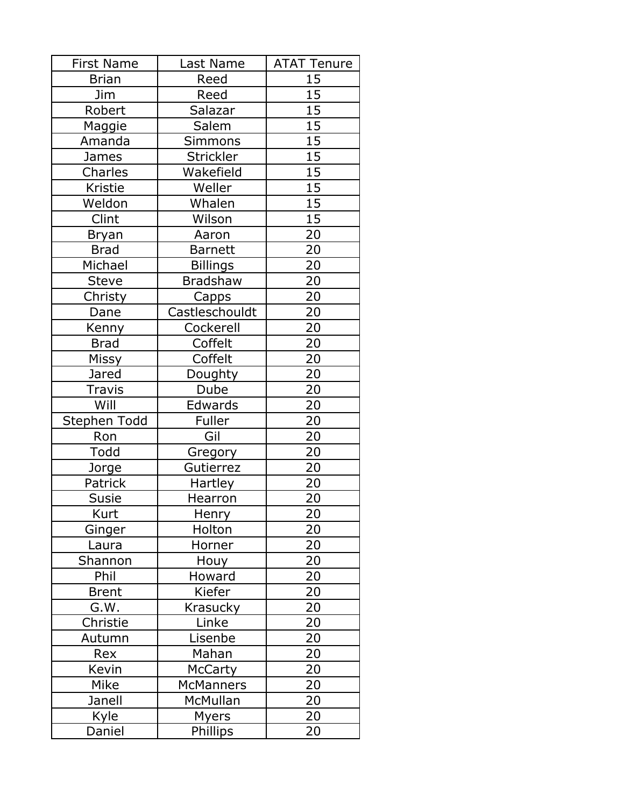| <b>First Name</b> | Last Name        | <b>ATAT Tenure</b> |
|-------------------|------------------|--------------------|
| <b>Brian</b>      | Reed             | 15                 |
| <b>Jim</b>        | Reed             | 15                 |
| Robert            | Salazar          | 15                 |
| Maggie            | Salem            | 15                 |
| Amanda            | Simmons          | 15                 |
| James             | Strickler        | $\overline{15}$    |
| Charles           | Wakefield        | 15                 |
| Kristie           | Weller           | 15                 |
| Weldon            | Whalen           | 15                 |
| Clint             | Wilson           | 15                 |
| <b>Bryan</b>      | Aaron            | 20                 |
| <b>Brad</b>       | <b>Barnett</b>   | 20                 |
| Michael           | <b>Billings</b>  | 20                 |
| <b>Steve</b>      | Bradshaw         | 20                 |
| Christy           | Capps            | 20                 |
| Dane              | Castleschouldt   | 20                 |
| Kenny             | Cockerell        | 20                 |
| <b>Brad</b>       | Coffelt          | 20                 |
| Missy             | Coffelt          | 20                 |
| Jared             | Doughty          | 20                 |
| Travis            | Dube             | 20                 |
| Will              | Edwards          | 20                 |
| Stephen Todd      | Fuller           | 20                 |
| Ron               | Gil              | 20                 |
| Todd              | Gregory          | 20                 |
| Jorge             | Gutierrez        | 20                 |
| Patrick           | Hartley          | 20                 |
| Susie             | Hearron          | 20                 |
| Kurt              | Henry            | 20                 |
| Ginger            | Holton           | 20                 |
| Laura             | Horner           | 20                 |
| Shannon           | Houy             | 20                 |
| Phil              | Howard           | 20                 |
| <b>Brent</b>      | Kiefer           | 20                 |
| G.W.              | Krasucky         | 20                 |
| Christie          | Linke            | <u>20</u>          |
| Autumn            | Lisenbe          | 20                 |
| Rex               | Mahan            | 20                 |
| Kevin             | <b>McCarty</b>   | 20                 |
| Mike              | <b>McManners</b> | 20                 |
| Janell            | McMullan         | 20                 |
| Kyle              | <b>Myers</b>     | 20                 |
| Daniel            | Phillips         | 20                 |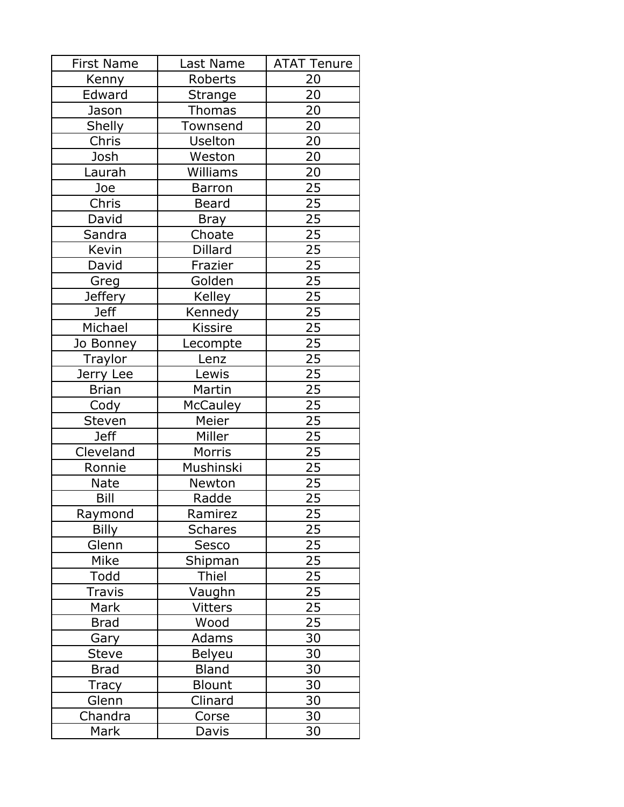| <b>First Name</b>           | Last Name       | <b>ATAT Tenure</b> |
|-----------------------------|-----------------|--------------------|
| Kenny                       | Roberts         | 20                 |
| Edward                      | <b>Strange</b>  | 20                 |
| Jason                       | <b>Thomas</b>   | 20                 |
| Shelly                      | Townsend        | 20                 |
| Chris                       | Uselton         | 20                 |
| Josh                        | Weston          | 20                 |
| Laurah                      | Williams        | 20                 |
| Joe                         | <b>Barron</b>   | 25                 |
| Chris                       | Beard           | 25                 |
| David                       | Bray            | 25                 |
| Sandra                      | Choate          | 25                 |
| Kevin                       | Dillard         | $\overline{25}$    |
| David                       | Frazier         | 25                 |
| Greg                        | Golden          | 25                 |
| <b>Jeffery</b>              | Kelley          | 25                 |
| <b>Jeff</b>                 | Kennedy         | 25                 |
| Michael                     | <b>Kissire</b>  | 25                 |
| Jo Bonney                   | Lecompte        | 25                 |
| Traylor                     | Lenz            | 25                 |
| Jerry Lee                   | Lewis           | 25                 |
| <b>Brian</b>                | Martin          | 25                 |
| Cody                        | <b>McCauley</b> | 25                 |
| Steven                      | Meier           | 25                 |
| <b>Jeff</b>                 | Miller          | 25                 |
| Cleveland                   | Morris          | 25                 |
| Ronnie                      | Mushinski       | 25                 |
| <b>Nate</b>                 | Newton          | 25                 |
| Bill                        | Radde           | 25                 |
| Raymond                     | Ramirez         | $\overline{25}$    |
| <b>Billy</b>                | <b>Schares</b>  | 25                 |
| Glenn                       | <b>Sesco</b>    | 25                 |
| Mike                        | Shipman         | 25                 |
| Todd                        | Thiel           | 25                 |
| Travis                      | Vaughn          | 25                 |
| Mark                        | <b>Vitters</b>  | 25                 |
| <b>Brad</b>                 | Wood            | 25                 |
| Gary                        | Adams           | 30                 |
| <b>Steve</b>                | Belyeu          | 30                 |
| <b>Brad</b>                 | <b>Bland</b>    | 30                 |
| Tracy                       | <b>Blount</b>   | 30                 |
| Glenn                       | Clinard         | 30                 |
| Chandra                     | Corse           | 30                 |
| $\overline{\mathsf{M}}$ ark | Davis           | 30                 |